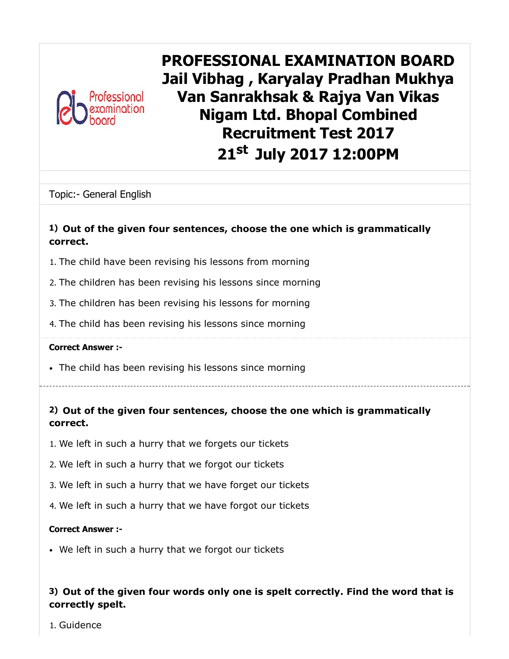

PROFESSIONAL EXAMINATION BOARD Jail Vibhag , Karyalay Pradhan Mukhya Van Sanrakhsak & Rajya Van Vikas Nigam Ltd. Bhopal Combined Recruitment Test 2017 21<sup>st</sup> July 2017 12:00PM

Topic:- General English

### 1) Out of the given four sentences, choose the one which is grammatically correct.

- 1. The child have been revising his lessons from morning
- 2. The children has been revising his lessons since morning
- 3. The children has been revising his lessons for morning
- 4. The child has been revising his lessons since morning

#### Correct Answer :-

- The child has been revising his lessons since morning
- 2) Out of the given four sentences, choose the one which is grammatically correct.
- 1. We left in such a hurry that we forgets our tickets
- 2. We left in such a hurry that we forgot our tickets
- 3. We left in such a hurry that we have forget our tickets
- 4. We left in such a hurry that we have forgot our tickets

#### Correct Answer :-

We left in such a hurry that we forgot our tickets

# 3) Out of the given four words only one is spelt correctly. Find the word that is correctly spelt.

1. Guidence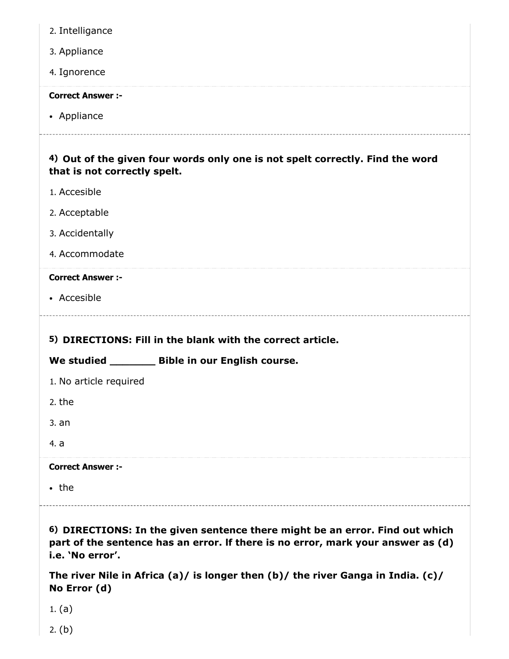| 2. Intelligance                                                                                                                                                                      |
|--------------------------------------------------------------------------------------------------------------------------------------------------------------------------------------|
| 3. Appliance                                                                                                                                                                         |
| 4. Ignorence                                                                                                                                                                         |
| <b>Correct Answer :-</b>                                                                                                                                                             |
| • Appliance                                                                                                                                                                          |
| 4) Out of the given four words only one is not spelt correctly. Find the word                                                                                                        |
| that is not correctly spelt.                                                                                                                                                         |
| 1. Accesible                                                                                                                                                                         |
| 2. Acceptable                                                                                                                                                                        |
| 3. Accidentally                                                                                                                                                                      |
| 4. Accommodate                                                                                                                                                                       |
| <b>Correct Answer :-</b>                                                                                                                                                             |
| • Accesible                                                                                                                                                                          |
|                                                                                                                                                                                      |
|                                                                                                                                                                                      |
| 5) DIRECTIONS: Fill in the blank with the correct article.                                                                                                                           |
| We studied _________ Bible in our English course.                                                                                                                                    |
| 1. No article required                                                                                                                                                               |
| 2. the                                                                                                                                                                               |
| 3. an                                                                                                                                                                                |
| 4. a                                                                                                                                                                                 |
| <b>Correct Answer :-</b>                                                                                                                                                             |
| $\cdot$ the                                                                                                                                                                          |
|                                                                                                                                                                                      |
| 6) DIRECTIONS: In the given sentence there might be an error. Find out which<br>part of the sentence has an error. If there is no error, mark your answer as (d)<br>i.e. 'No error'. |
| The river Nile in Africa (a)/ is longer then $(b)$ / the river Ganga in India. (c)/<br>No Error (d)                                                                                  |
| 1. $(a)$                                                                                                                                                                             |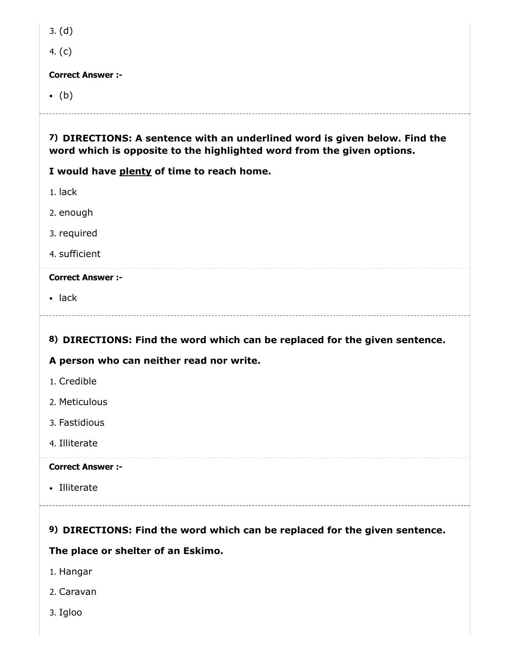| M.<br>۰. | . . |  |
|----------|-----|--|
|----------|-----|--|

4. (c)

#### Correct Answer :-

 $\bullet$  (b)

# 7) DIRECTIONS: A sentence with an underlined word is given below. Find the word which is opposite to the highlighted word from the given options.

# I would have plenty of time to reach home.

1. lack

2. enough

3. required

4. sufficient

# Correct Answer :-

• lack

# 8) DIRECTIONS: Find the word which can be replaced for the given sentence.

# A person who can neither read nor write.

- 1. Credible
- 2. Meticulous
- 3. Fastidious
- 4. Illiterate

# Correct Answer :-

• Illiterate

# 9) DIRECTIONS: Find the word which can be replaced for the given sentence.

# The place or shelter of an Eskimo.

- 1. Hangar
- 2. Caravan
- 3. Igloo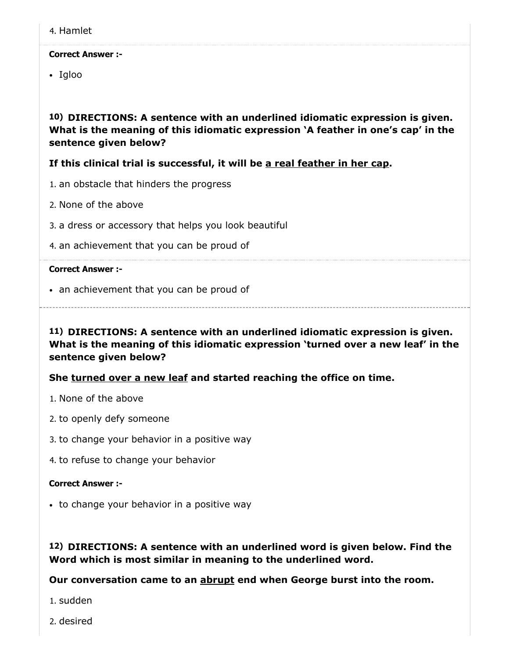4. Hamlet

#### Correct Answer :-

• Igloo

10) DIRECTIONS: A sentence with an underlined idiomatic expression is given. What is the meaning of this idiomatic expression 'A feather in one's cap' in the sentence given below?

If this clinical trial is successful, it will be a real feather in her cap.

- 1. an obstacle that hinders the progress
- 2. None of the above
- 3. a dress or accessory that helps you look beautiful
- 4. an achievement that you can be proud of

#### Correct Answer :-

• an achievement that you can be proud of

11) DIRECTIONS: A sentence with an underlined idiomatic expression is given. What is the meaning of this idiomatic expression 'turned over a new leaf' in the sentence given below?

#### She turned over a new leaf and started reaching the office on time.

- 1. None of the above
- 2. to openly defy someone
- 3. to change your behavior in a positive way
- 4. to refuse to change your behavior

#### Correct Answer :-

• to change your behavior in a positive way

### 12) DIRECTIONS: A sentence with an underlined word is given below. Find the Word which is most similar in meaning to the underlined word.

Our conversation came to an **abrupt** end when George burst into the room.

1. sudden

2. desired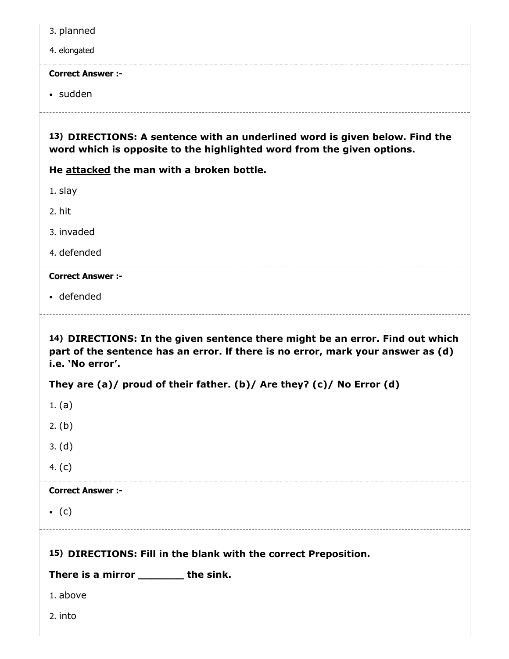|  | 3. planned |
|--|------------|
|--|------------|

#### 4. elongated

#### Correct Answer :-

• sudden

13) DIRECTIONS: A sentence with an underlined word is given below. Find the word which is opposite to the highlighted word from the given options.

He attacked the man with a broken bottle.

1. slay

2. hit

3. invaded

4. defended

#### Correct Answer :-

defended

14) DIRECTIONS: In the given sentence there might be an error. Find out which part of the sentence has an error. lf there is no error, mark your answer as (d) i.e. 'No error'.

|  |  |  | They are (a)/ proud of their father. (b)/ Are they? (c)/ No Error (d) |  |  |
|--|--|--|-----------------------------------------------------------------------|--|--|
|  |  |  |                                                                       |  |  |

- 1. (a)
- 2. (b)
- 3. (d)
- 4. (c)

#### Correct Answer :-

 $\bullet$  (c)

# 15) DIRECTIONS: Fill in the blank with the correct Preposition.

#### There is a mirror \_\_\_\_\_\_\_\_ the sink.

- 1. above
- 2. into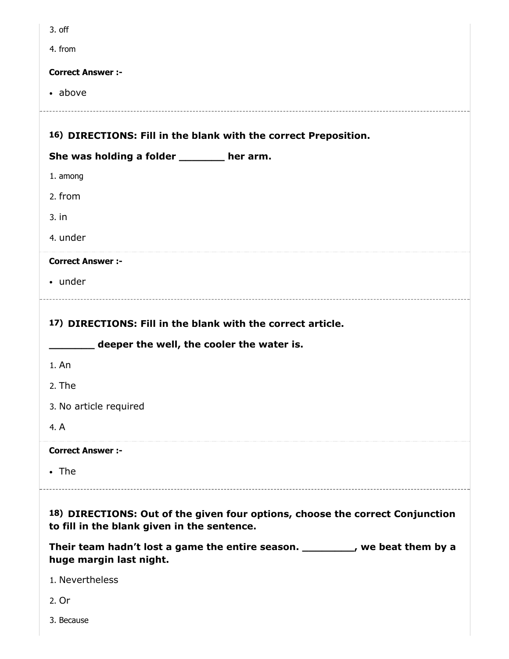| 3. off                                                                                                                       |
|------------------------------------------------------------------------------------------------------------------------------|
| 4. from                                                                                                                      |
| <b>Correct Answer :-</b>                                                                                                     |
| • above                                                                                                                      |
|                                                                                                                              |
| 16) DIRECTIONS: Fill in the blank with the correct Preposition.                                                              |
| She was holding a folder _______ her arm.                                                                                    |
| 1. among                                                                                                                     |
| 2. from                                                                                                                      |
| $3.$ in                                                                                                                      |
| 4. under                                                                                                                     |
| <b>Correct Answer :-</b>                                                                                                     |
| • under                                                                                                                      |
|                                                                                                                              |
| 17) DIRECTIONS: Fill in the blank with the correct article.                                                                  |
| deeper the well, the cooler the water is.                                                                                    |
| 1. An                                                                                                                        |
| 2. The                                                                                                                       |
| 3. No article required                                                                                                       |
| 4. A                                                                                                                         |
| <b>Correct Answer :-</b>                                                                                                     |
| $\cdot$ The                                                                                                                  |
|                                                                                                                              |
| 18) DIRECTIONS: Out of the given four options, choose the correct Conjunction<br>to fill in the blank given in the sentence. |
|                                                                                                                              |
| Their team hadn't lost a game the entire season. _________, we beat them by a<br>huge margin last night.                     |
| 1. Nevertheless                                                                                                              |
| 2. Or                                                                                                                        |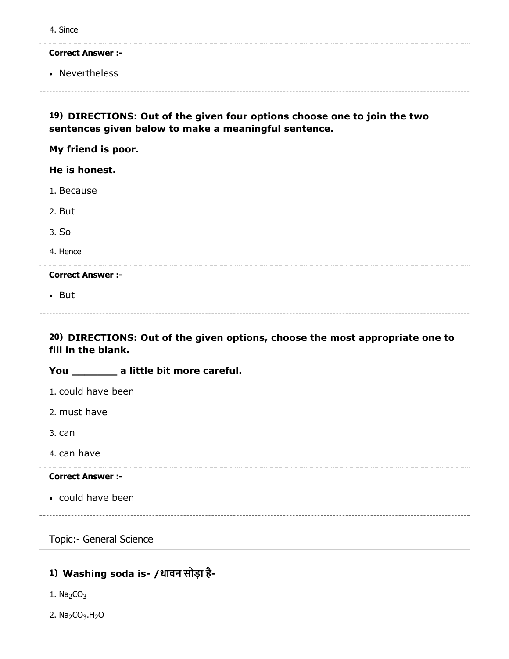| 4. Since                                                                                                                         |
|----------------------------------------------------------------------------------------------------------------------------------|
| <b>Correct Answer:-</b>                                                                                                          |
| • Nevertheless                                                                                                                   |
| 19) DIRECTIONS: Out of the given four options choose one to join the two<br>sentences given below to make a meaningful sentence. |
| My friend is poor.                                                                                                               |
| He is honest.                                                                                                                    |
| 1. Because                                                                                                                       |
| 2. But                                                                                                                           |
| 3. So                                                                                                                            |
| 4. Hence                                                                                                                         |
| <b>Correct Answer :-</b>                                                                                                         |
|                                                                                                                                  |
| $\bullet$ But                                                                                                                    |
| 20) DIRECTIONS: Out of the given options, choose the most appropriate one to<br>fill in the blank.                               |
| You ___________ a little bit more careful.                                                                                       |
| 1. could have been                                                                                                               |
| 2. must have                                                                                                                     |
| 3. can                                                                                                                           |
| 4. can have                                                                                                                      |
| <b>Correct Answer :-</b>                                                                                                         |
| • could have been                                                                                                                |
|                                                                                                                                  |
| Topic:- General Science                                                                                                          |

# 1) Washing soda is- /धावन सोड़ा है-

- 1.  $Na<sub>2</sub>CO<sub>3</sub>$
- 2. Na<sub>2</sub>CO<sub>3</sub>.H<sub>2</sub>O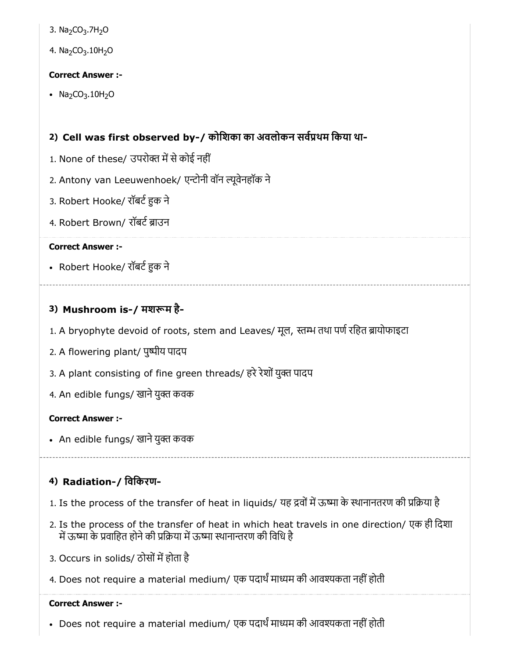- 3. Na<sub>2</sub>CO<sub>3</sub>.7H<sub>2</sub>O
- 4. Na<sub>2</sub>CO<sub>3</sub>.10H<sub>2</sub>O

 $\bullet$  Na<sub>2</sub>CO<sub>3</sub>.10H<sub>2</sub>O

# 2) Cell was first observed by-/ कोिशका का अवलोकन सवथम िकया था-

- 1. None of these/ उपरोक्त में से कोई नहीं
- 2. Antony van Leeuwenhoek/ एन्टोनी वॉन ल्यूवेनहॉक ने
- 3. Robert Hooke/ रॉबर्ट हुक ने
- 4. Robert Brown/ रॉबर्ट ब्राउन

#### Correct Answer :-

• Robert Hooke/ रॉबर्ट हुक ने

# 3) Mushroom is-/ मशम है-

- 1. A bryophyte devoid of roots, stem and Leaves/ मूल, स्तम्भ तथा पर्ण रहित ब्रायोफाइटा
- 2. A flowering plant/ पुष्पीय पादप
- 3. A plant consisting of fine green threads/ हरे रेशों युक्त पादप
- 4. An edible fungs/ खाने युक्त कवक

# Correct Answer :-

• An edible fungs/ खाने युक्त कवक

# 4) Radiation-/ िविकरण-

- 1. Is the process of the transfer of heat in liquids/ यह द्रवों में ऊष्मा के स्थानानतरण की प्रक्रिया है
- 2. Is the process of the transfer of heat in which heat travels in one direction/ एक ही िदशा में ऊष्मा के प्रवाहित होने की प्रक्रिया में ऊष्मा स्थानान्तरण की विधि है
- 3. Occurs in solids/ ठोसों में होता है
- 4. Does not require a material medium/ एक पदार्थ माध्यम की आवश्यकता नहीं होती

#### Correct Answer :-

• Does not require a material medium/ एक पदार्थं माध्यम की आवश्यकता नहीं होती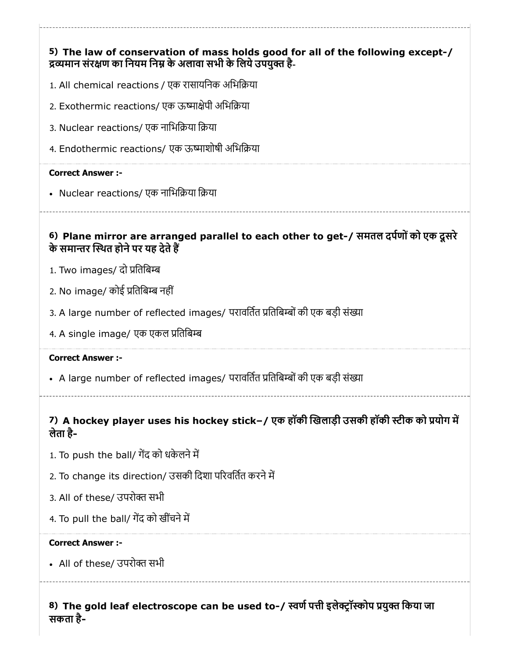# 5) The law of conservation of mass holds good for all of the following except-/ 6) Plane mirror are arranged parallel to each other to get-/ समतल दपणोंको एक दूसरे 7) A hockey player uses his hockey stick–/ एक हॉकी खिलाड़ी उसकी हॉकी स्टीक को प्रयोग में द्रव्यमान संरक्षण का नियम निम्न के अलावा सभी के लिये उपयुक्त है-1. All chemical reactions / एक रासायिनक अिभिया 2. Exothermic reactions/ एक ऊष्माक्षेपी अभिक्रिया 3. Nuclear reactions/ एक नाभिक्रिया क्रिया 4. Endothermic reactions/ एक ऊष्माशोषी अभिक्रिया Correct Answer :- • Nuclear reactions/ एक नाभिक्रिया क्रिया के समान्तर स्थित होने पर यह देते हैं 1. Two images/ दो प्रतिबिम्ब 2. No image/ कोई प्रतिबिम्ब नहीं 3. A large number of reflected images/ परावर्तित प्रतिबिम्बों की एक बड़ी संख्या 4. A single image/ एक एकल प्रतिबिम्ब Correct Answer :- • A large number of reflected images/ परावर्तित प्रतिबिम्बों की एक बड़ी संख्या लेता है- 1. To push the ball/ गेंद को धकेलने में 2. To change its direction/ उसकी दिशा परिवर्तित करने में 3. All of these/ उपरोक्त सभी 4. To pull the ball/ गेंद को खींचने में Correct Answer :- • All of these/ उपरोक्त सभी

8) The gold leaf electroscope can be used to-/ स्वर्ण पत्ती इलेक्ट्रॉस्कोप प्रयुक्त किया जा सकता है-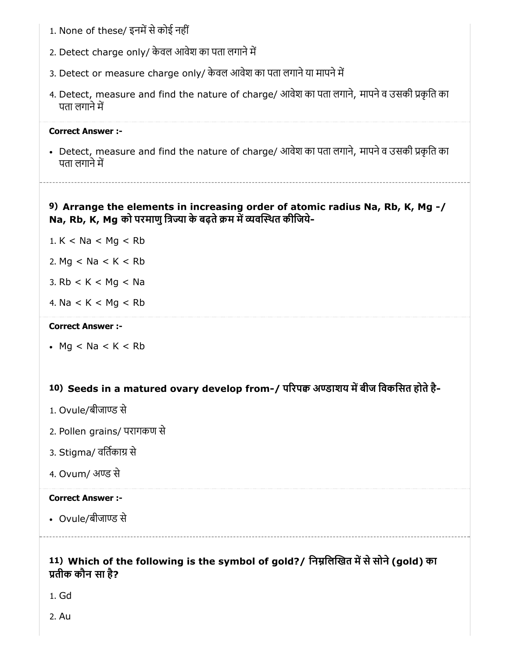- 1. None of these/ इनमें से कोई नहीं
- 2. Detect charge only/ केवल आवेश का पता लगाने में
- 3. Detect or measure charge only/ केवल आवेश का पता लगाने या मापने में
- 4. Detect, measure and find the nature of charge/ आवेश का पता लगाने, मापने व उसकी प्रकृति का पता लगाने में

• Detect, measure and find the nature of charge/ आवेश का पता लगाने, मापने व उसकी प्रकृति का पता लगाने में

## 9) Arrange the elements in increasing order of atomic radius Na, Rb, K, Mg -/ Na, Rb, K, Mg को परमाणु त्रिज्या के बढ़ते क्रम में व्यवस्थित कीजिये-

- 1.  $K < Na < Mg < Ro$
- 2. Mg  $<$  Na  $<$  K  $<$  Rb
- 3.  $Rb < K < Mg <$  Ng
- 4.  $Na < K < Mg < Rb$

#### Correct Answer :-

 $Mq < Na < K < Rb$ 

# 10) Seeds in a matured ovary develop from-/ परिपक्व अण्डाशय में बीज विकसित होते है-

- 1. Ovule/बीजाण्ड से
- 2. Pollen grains/ परागकण से
- 3. Stigma/ वर्तिकाग्र से
- 4. Ovum/ अण्ड से

#### Correct Answer :-

• Ovule/बीजाण्ड से

# 11) Which of the following is the symbol of gold?/ निम्नलिखित में से सोने (gold) का तीक कौन सा है?

1. Gd

2. Au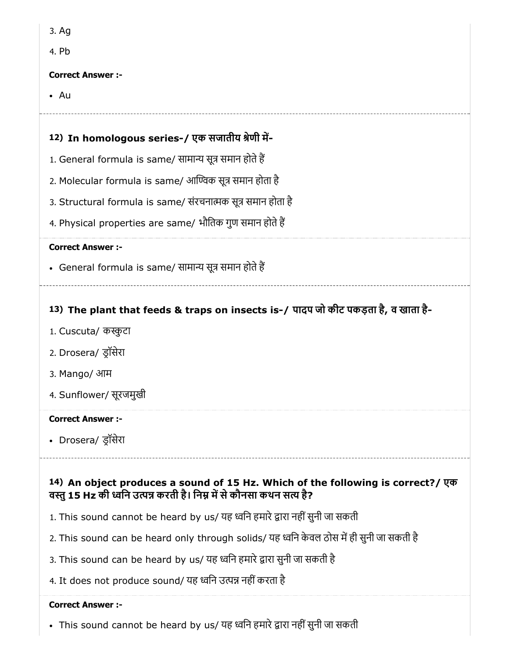| M.<br>۰. | ۰. |
|----------|----|
|----------|----|

4. Pb

### Correct Answer :-

• Au

# 12) In homologous series-/ एक सजातीय श्रेणी में-

- 1. General formula is same/ सामान्य सूत्र समान होते हैं
- 2. Molecular formula is same/ आण्विक सूत्र समान होता है
- 3. Structural formula is same/ संरचनात्मक सूत्र समान होता है
- 4. Physical properties are same/ भौितक गुण समान होतेह

### Correct Answer :-

• General formula is same/ सामान्य सूत्र समान होते हैं

# 13) The plant that feeds & traps on insects is-/ पादप जो कीट पकड़ता है, व खाता है-

- 1. Cuscuta/ कुटा
- 2. Drosera/ डॉसेरा
- 3. Mango/ आम
- 4. Sunflower/ सूरजमुखी

# Correct Answer :-

Drosera/ डॉसेरा

# 14) An object produces a sound of 15 Hz. Which of the following is correct?/ एक वस्तु 15 Hz की ध्वनि उत्पन्न करती है। निम्न में से कौनसा कथन सत्य है?

- 1. This sound cannot be heard by us/ यह ध्वनि हमारे द्वारा नहीं सुनी जा सकती
- 2. This sound can be heard only through solids/ यह ध्वनि केवल ठोस में ही सुनी जा सकती है
- 3. This sound can be heard by us/ यह ध्वनि हमारे द्वारा सुनी जा सकती है
- 4. It does not produce sound/ यह ध्वनि उत्पन्न नहीं करता है

#### Correct Answer :-

• This sound cannot be heard by us/ यह ध्वनि हमारे द्वारा नहीं सुनी जा सकती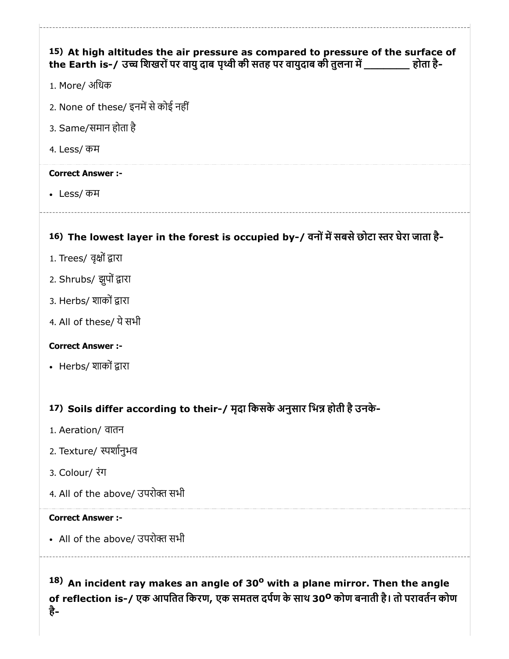| 15) At high altitudes the air pressure as compared to pressure of the surface of<br>the Earth is-/ उच्च शिखरों पर वायु दाब पृथ्वी की सतह पर वायुदाब की तुलना में __________ होता है- |
|--------------------------------------------------------------------------------------------------------------------------------------------------------------------------------------|
| 1. More/ अधिक                                                                                                                                                                        |
| 2. None of these/ इनमें से कोई नहीं                                                                                                                                                  |
| 3. Same/समान होता है                                                                                                                                                                 |
| 4. Less/ कम                                                                                                                                                                          |
| <b>Correct Answer :-</b>                                                                                                                                                             |
| • Less/ कम                                                                                                                                                                           |
|                                                                                                                                                                                      |
| 16) The lowest layer in the forest is occupied by-/ वनों में सबसे छोटा स्तर घेरा जाता है-                                                                                            |
| 1. Trees/ वृक्षों द्वारा                                                                                                                                                             |
| 2. Shrubs/ झुपों द्वारा                                                                                                                                                              |
| 3. Herbs/ शाकों द्वारा                                                                                                                                                               |
| 4. All of these/ ये सभी                                                                                                                                                              |
| <b>Correct Answer :-</b>                                                                                                                                                             |
| • Herbs/ शाकों द्वारा                                                                                                                                                                |
|                                                                                                                                                                                      |
| 17) Soils differ according to their-/ मृदा किसके अनुसार भिन्न होती है उनके-                                                                                                          |
| 1. Aeration/ वातन                                                                                                                                                                    |
| 2. Texture/ स्पर्शानुभव                                                                                                                                                              |
| 3. Colour/ रंग                                                                                                                                                                       |

4. All of the above/ उपरोक्त सभी

#### Correct Answer :-

• All of the above/ उपरोक्त सभी

 $18)$  An incident ray makes an angle of 30<sup>o</sup> with a plane mirror. Then the angle of reflection is-/ एक आपतित किरण, एक समतल दर्पण के साथ 30º कोण बनाती है। तो परावर्तन कोण है-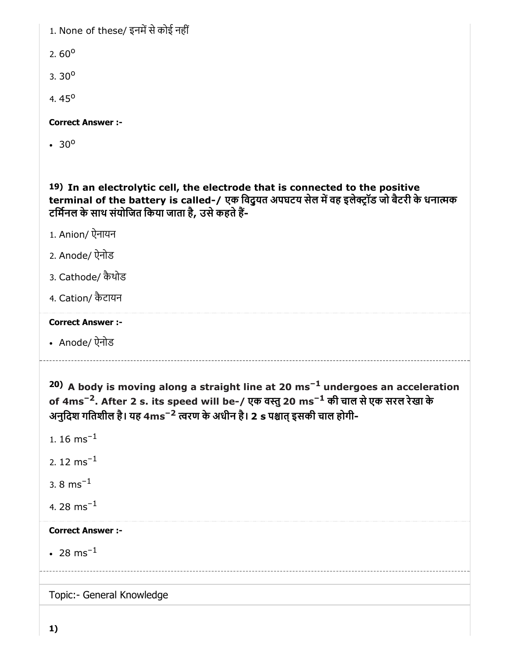1. None of these/ इनमें से कोई नहीं

2.60 $^{\circ}$ 

 $3.30^{\circ}$ 

4.  $45^{\circ}$ 

Correct Answer :-

30<sup>o</sup>

19) In an electrolytic cell, the electrode that is connected to the positive terminal of the battery is called-/ एक विदुयत अपघटय सेल में वह इलेक्ट्रॉड जो बैटरी के धनात्मक टर्मिनल के साथ संयोजित किया जाता है, उसे कहते हैं-

1. Anion/ ऐनायन

2. Anode/ ऐनोड

3. Cathode/ कैथोड

4. Cation/ कैटायन

#### Correct Answer :-

Anode/ ऐनोड

 $20)$  A body is moving along a straight line at 20 ms<sup>-1</sup> undergoes an acceleration of 4ms<sup>–2</sup>. After 2 s. its speed will be-/ एक वस्तु 20 ms<sup>–1</sup> की चाल से एक सरल रेखा के अनुदिश गतिशील है। यह 4ms<sup>–2</sup> त्वरण के अधीन है। 2 s पश्चात् इसकी चाल होगी-

1. 16  $\text{ms}^{-1}$ 

2. 12  $\text{ms}^{-1}$ 

3.  $8 \text{ ms}^{-1}$ 

4. 28  $\rm{ms^{-1}}$ 

Correct Answer :-

 $28 \text{ ms}^{-1}$ 

Topic:- General Knowledge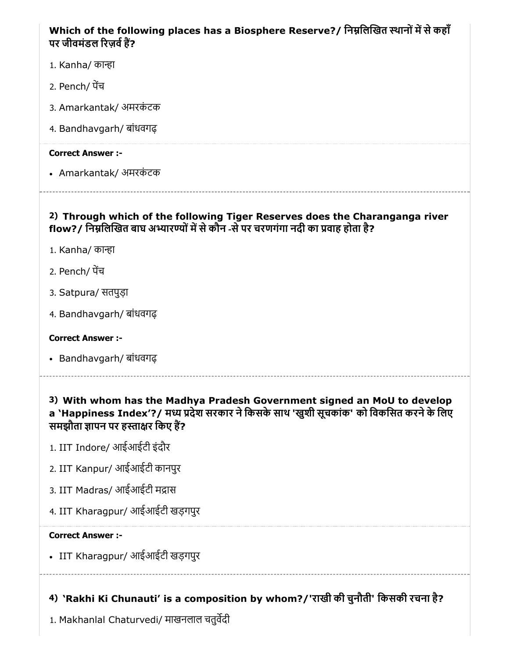# Which of the following places has a Biosphere Reserve?/ निम्नलिखित स्थानों में से कहाँ पर जीवमंडल रिज़र्व हैं?

- 1. Kanha/ कान्हा
- 2. Pench/ पच
- 3. Amarkantak/ अमरकंटक
- 4. Bandhavgarh/ बांधवगढ़

## Correct Answer :-

• Amarkantak/ अमरकंटक

# 2) Through which of the following Tiger Reserves does the Charanganga river flow?/ निम्नलिखित बाघ अभ्यारण्यों में से कौन -से पर चरणगंगा नदी का प्रवाह होता है?

- 1. Kanha/ कान्हा
- 2. Pench/ पच
- 3. Satpura/ सतपुड़ा
- 4. Bandhavgarh/ बांधवगढ़

# Correct Answer :-

Bandhavgarh/ बांधवगढ़

3) With whom has the Madhya Pradesh Government signed an MoU to develop a `Happiness Index'?/ मध्य प्रदेश सरकार ने किसके साथ 'खुशी सूचकांक' को विकसित करने के लिए समझौता ज्ञापन पर हस्ताक्षर किए हैं?

- 1. IIT Indore/ आईआईटी इंदौर
- 2. IIT Kanpur/ आईआईटी कानपुर
- 3. IIT Madras/ आईआईटी मद्रास
- 4. IIT Kharagpur/ आईआईटी खड़गपुर

# Correct Answer :-

IIT Kharagpur/ आईआईटी खड़गपुर

4) 'Rakhi Ki Chunauti' is a composition by whom?/'राखी की चुनौती' िकसकी रचना है?

1. Makhanlal Chaturvedi/ माखनलाल चतुवदी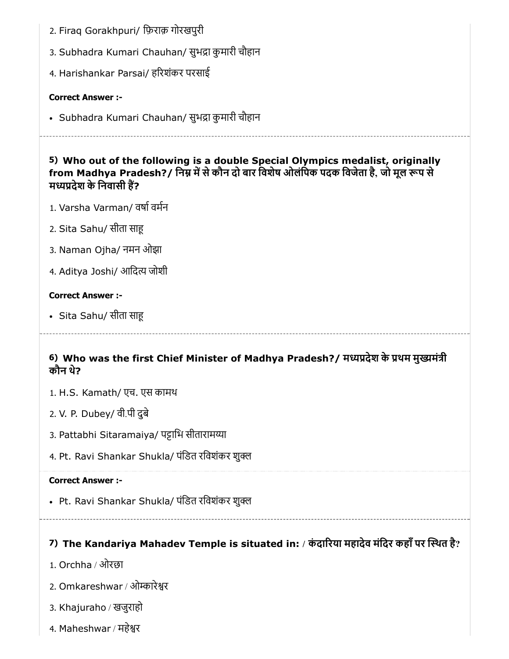- 2. Firaq Gorakhpuri/ िफ़राक़ गोरखपुरी
- 3. Subhadra Kumari Chauhan/ सुभद्रा कुमारी चौहान
- 4. Harishankar Parsai/ हरशंकर परसाई

• Subhadra Kumari Chauhan/ सुभद्रा कुमारी चौहान

5) Who out of the following is a double Special Olympics medalist, originally from Madhya Pradesh?/ निम्न में से कौन दो बार विशेष ओलंपिक पदक विजेता है, जो मूल रूप से मध्यप्रदेश के निवासी हैं?

- 1. Varsha Varman/ वर्षा वर्मन
- 2. Sita Sahu/ सीता सा
- 3. Naman Ojha/ नमन ओझा
- 4. Aditya Joshi/ आदित्य जोशी

# Correct Answer :-

• Sita Sahu/ सीता साहू

# 6) Who was the first Chief Minister of Madhya Pradesh?/ मध्यप्रदेश के प्रथम मुख्यमंत्री कौन थे?

- 1. H.S. Kamath/ एच. एस कामथ
- 2. V. P. Dubey/ वी.पी दुबे
- 3. Pattabhi Sitaramaiya/ पट्टाभि सीतारामय्या
- 4. Pt. Ravi Shankar Shukla/ पंिडत रिवशंकर शु

# Correct Answer :-

• Pt. Ravi Shankar Shukla/ पंडित रविशंकर शुक्ल

# 7) The Kandariya Mahadev Temple is situated in: / कंदारिया महादेव मंदिर कहाँ पर स्थित है?

- 1. Orchha / ओरछा
- 2. Omkareshwar / ओकारेर
- 3. Khajuraho / खजुराहो
- 4. Maheshwar / महेर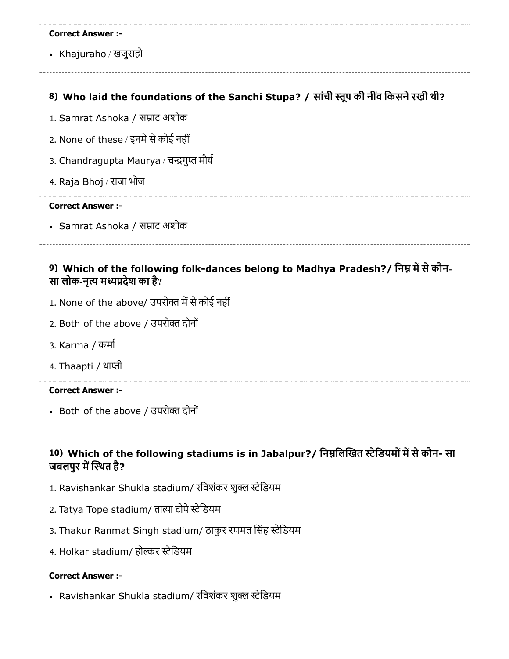Khajuraho / खजुराहो

# 8) Who laid the foundations of the Sanchi Stupa? / सांची स्तूप की नींव किसने रखी थी?

- 1. Samrat Ashoka / साट अशोक
- 2. None of these / इनमे से कोई नहीं
- 3. Chandragupta Maurya / चन्द्रगुप्त मौर्य
- 4. Raja Bhoj / राजा भोज

#### Correct Answer :-

• Samrat Ashoka / सम्राट अशोक

### 9) Which of the following folk-dances belong to Madhya Pradesh?/ निम्न में से कौन-सा लोक-नृत्य मध्यप्रदेश का है?

- 1. None of the above/ उपरोक्त में से कोई नहीं
- 2. Both of the above / उपरो दोनों
- 3. Karma / कमा
- 4. Thaapti / थाप्ती

#### Correct Answer :-

• Both of the above / उपरोक्त दोनों

# 10) Which of the following stadiums is in Jabalpur?/ निम्नलिखित स्टेडियमों में से कौन- सा जबलपुर में स्थित है?

- 1. Ravishankar Shukla stadium/ रविशंकर शुक्ल स्टेडियम
- 2. Tatya Tope stadium/ तात्या टोपे स्टेडियम
- 3. Thakur Ranmat Singh stadium/ ठाकुर रणमत सिंह स्टेडियम
- 4. Holkar stadium/ होल्कर स्टेडियम

#### Correct Answer :-

• Ravishankar Shukla stadium/ रविशंकर शुक्ल स्टेडियम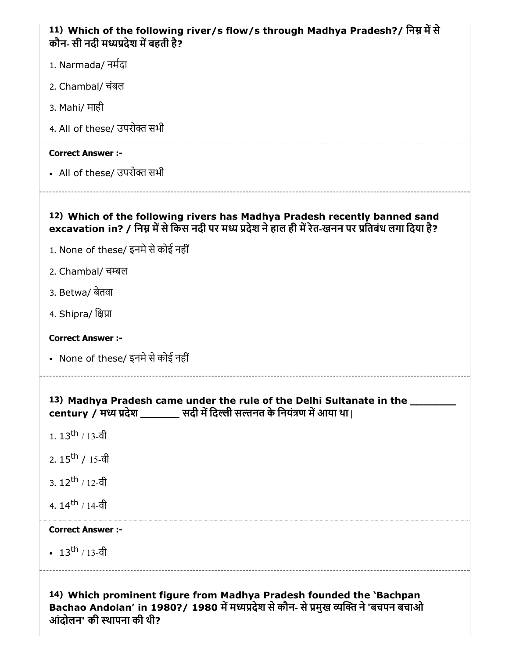| 11) Which of the following river/s flow/s through Madhya Pradesh?/ निम्न में से<br>कौन- सी नदी मध्यप्रदेश में बहती है?                                                           |
|----------------------------------------------------------------------------------------------------------------------------------------------------------------------------------|
| 1. Narmada/ नर्मदा                                                                                                                                                               |
| 2. Chambal/ चंबल                                                                                                                                                                 |
| 3. Mahi/ माही                                                                                                                                                                    |
| 4. All of these/ उपरोक्त सभी                                                                                                                                                     |
| <b>Correct Answer :-</b>                                                                                                                                                         |
| • All of these/ उपरोक्त सभी                                                                                                                                                      |
| 12) Which of the following rivers has Madhya Pradesh recently banned sand<br>excavation in? / निम्न में से किस नदी पर मध्य प्रदेश ने हाल ही में रेत-खनन पर प्रतिबंध लगा दिया है? |
| 1. None of these/ इनमे से कोई नहीं                                                                                                                                               |
| 2. Chambal/ चम्बल                                                                                                                                                                |
| 3. Betwa/ बेतवा                                                                                                                                                                  |
| 4. Shipra/ क्षिप्रा                                                                                                                                                              |
| <b>Correct Answer:-</b>                                                                                                                                                          |
| • None of these/ इनमे से कोई नहीं                                                                                                                                                |
| 13) Madhya Pradesh came under the rule of the Delhi Sultanate in the ______<br>century / मध्य प्रदेश ________ सदी में दिल्ली सल्तनत के नियंत्रण में आया था                       |
| 1. $13^{th}$ / 13-वी                                                                                                                                                             |
| 2. $15^{\text{th}}$ / 15-वी                                                                                                                                                      |
| 3. $12^{th}$ / 12-वी                                                                                                                                                             |
| 4. $14^{\text{th}}$ / 14-वी                                                                                                                                                      |
| <b>Correct Answer :-</b>                                                                                                                                                         |
| • $13^{\text{th}}$ / 13-वी                                                                                                                                                       |
| 14) Which prominent figure from Madhya Pradesh founded the 'Bachpan<br>Bachao Andolan' in 1980?/ 1980 में मध्यप्रदेश से कौन- से प्रमुख व्यक्ति ने 'बचपन बचाओ                     |

आंदोलन' की थापना की थी?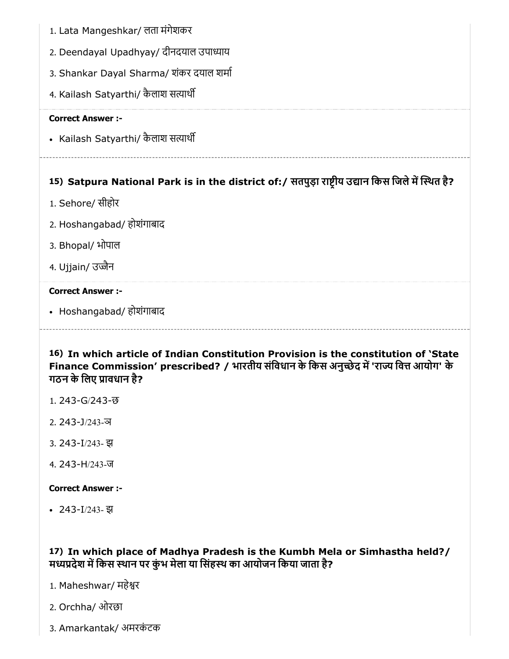- 1. Lata Mangeshkar/ लता मंगेशकर
- 2. Deendayal Upadhyay/ दीनदयाल उपाध्याय
- 3. Shankar Dayal Sharma/ शंकर दयाल शमा
- 4. Kailash Satyarthi/ कैलाश सत्यार्थी

• Kailash Satyarthi/ कैलाश सत्यार्थी

# 15) Satpura National Park is in the district of:/ सतपुड़ा राष्ट्रीय उद्यान किस जिले में स्थित है?

- 1. Sehore/ सीहोर
- 2. Hoshangabad/ होशंगाबाद
- 3. Bhopal/ भोपाल
- 4. Ujjain/ उज्जैन

#### Correct Answer :-

• Hoshangabad/ होशंगाबाद

# 16) In which article of Indian Constitution Provision is the constitution of 'State Finance Commission' prescribed? / भारतीय संविधान के किस अनुच्छेद में 'राज्य वित्त आयोग' के गठन के िलए ावधान है?

- 1. 243-G/243-छ
- 2. 243-J/243-ञ
- 3. 243-I/243- झ
- 4. 243-H/243-ज

#### Correct Answer :-

243-I/243- झ

17) In which place of Madhya Pradesh is the Kumbh Mela or Simhastha held?/ मध्यप्रदेश में किस स्थान पर कुंभ मेला या सिंहस्थ का आयोजन किया जाता है?

- 1. Maheshwar/ महेर
- 2. Orchha/ ओरछा
- 3. Amarkantak/ अमरकंटक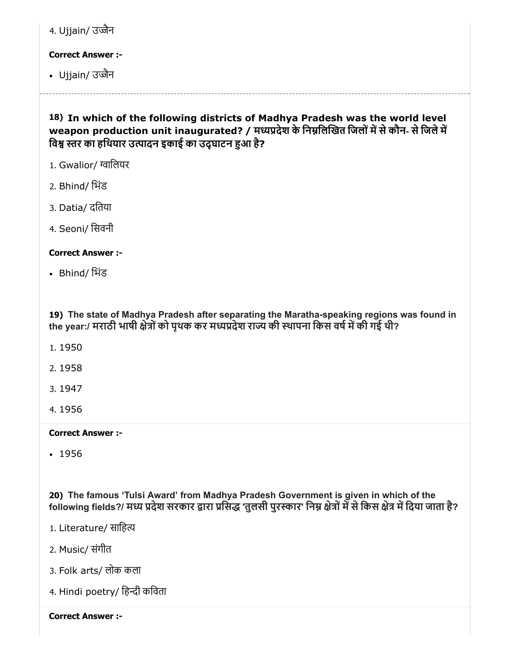| 1. Ujjain/ उज्जैन |  |
|-------------------|--|
|                   |  |

• Ujjain/ उज्जैन

18) In which of the following districts of Madhya Pradesh was the world level weapon production unit inaugurated? / मध्यप्रदेश के निम्नलिखित जिलों में से कौन- से जिले में विश्व स्तर का हथियार उत्पादन इकाई का उद्घाटन हुआ है?

- 1. Gwalior/ ग्वालियर
- 2. Bhind/ िभंड
- 3. Datia/ दितया
- 4. Seoni/ िसवनी

# Correct Answer :-

Bhind/ िभंड

19) The state of Madhya Pradesh after separating the Maratha-speaking regions was found in the year:/ मराठी भाषी क्षेत्रों को पथक कर मध्यप्रदेश राज्य की स्थापना किस वर्ष में की गई थी?

- 1. 1950
- 2. 1958
- 3. 1947
- 4. 1956

# Correct Answer :-

• 1956

20) The famous 'Tulsi Award' from Madhya Pradesh Government is given in which of the following fields?/ मध्य प्रदेश सरकार द्वारा प्रसिद्ध 'तुलसी पुरस्कार' निम्न क्षेत्रों में से किस क्षेत्र में दिया जाता है?

- 1. Literature/ सािह
- 2. Music/ संगीत
- 3. Folk arts/ लोक कला
- 4. Hindi poetry/ हिन्दी कविता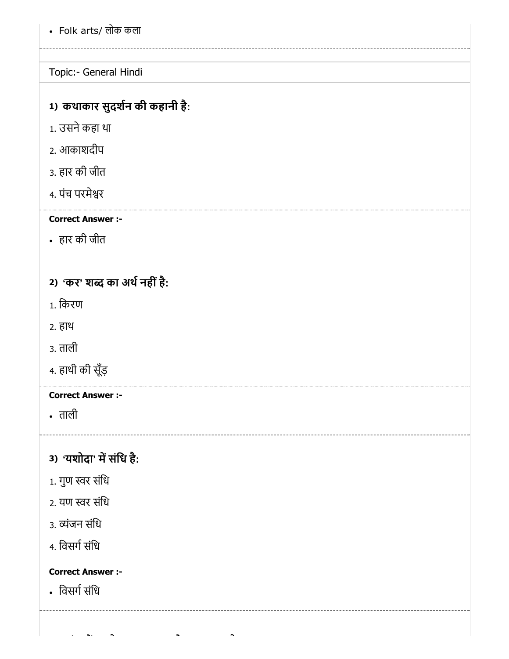Folk arts/ लोक कला

Topic:- General Hindi

# 1) कथाकार सुदर्शन की कहानी है:

- 1. उसनेकहा था
- 2. आकाशदीप
- 3. हार की जीत
- 4. पंच परमेर

Correct Answer :-

हार की जीत

2) 'कर' शब्द का अर्थ नहीं है:

- 1. िकरण
- 2. हाथ
- 3. ताली
- 4. हाथी की सूँड़

# Correct Answer :-

ताली

3) 'यशोदा' में संधि है:

- $1.$  गुण स्वर संधि
- 2. यण स्वर संधि
- 3. व्यंजन संधि
- 4. विसर्ग संधि

# Correct Answer :-

• विसर्ग संधि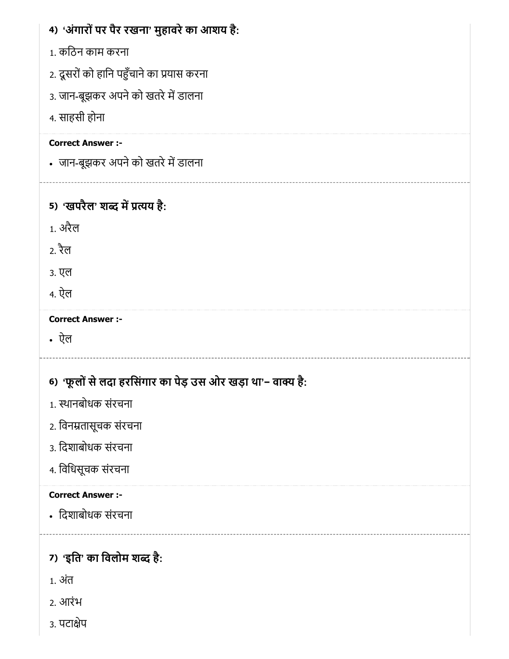| 4) 'अंगारों पर पैर रखना' मुहावरे का आशय है:                 |
|-------------------------------------------------------------|
| 1. कठिन काम करना                                            |
| 2. दूसरों को हानि पहुँचाने का प्रयास करना                   |
| 3. जान-बूझकर अपने को खतरे में डालना                         |
| 4. साहसी होना                                               |
| <b>Correct Answer :-</b>                                    |
| • जान-बूझकर अपने को खतरे में डालना                          |
|                                                             |
| 5) 'खपरैल' शब्द में प्रत्यय है:                             |
| <u>1. अरैल</u>                                              |
| 2. रैल                                                      |
| 3. एल                                                       |
| 4. ऐल                                                       |
| <b>Correct Answer :-</b>                                    |
| • ऐल                                                        |
|                                                             |
| 6) 'फूलों से लदा हरसिंगार का पेड़ उस ओर खड़ा था'- वाक्य है: |
| 1. स्थानबोधक संरचना                                         |
| 2. विनम्रतासूचक संरचना                                      |
| ३. दिशाबोधक संरचना                                          |
| 4. विधिसूचक संरचना                                          |
| <b>Correct Answer :-</b>                                    |
| • दिशाबोधक संरचना                                           |
|                                                             |
| 7) 'इति' का विलोम शब्द है:                                  |
| 1. अंत                                                      |
| 2. आरंभ                                                     |
| ३. पटाक्षेप                                                 |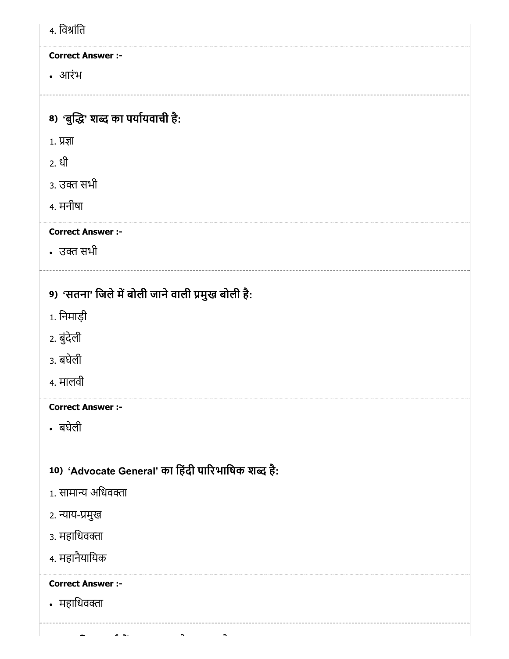| 4. विश्रांति                       |                                                    |
|------------------------------------|----------------------------------------------------|
| <b>Correct Answer :-</b>           |                                                    |
| • आरंभ                             |                                                    |
|                                    |                                                    |
| 8) 'बुद्धि' शब्द का पर्यायवाची है: |                                                    |
| $1.$ प्रज्ञा                       |                                                    |
| 2. धी                              |                                                    |
| 3. उक्त सभी                        |                                                    |
| 4. मनीषा                           |                                                    |
| <b>Correct Answer :-</b>           |                                                    |
| • उक्त सभी                         |                                                    |
|                                    |                                                    |
|                                    | 9) 'सतना' जिले में बोली जाने वाली प्रमुख बोली है:  |
| 1. निमाड़ी                         |                                                    |
| 2. बुंदेली                         |                                                    |
| 3. बघेली                           |                                                    |
| 4. मालवी                           |                                                    |
| <b>Correct Answer :-</b>           |                                                    |
| • बघेली                            |                                                    |
|                                    |                                                    |
|                                    | 10) 'Advocate General' का हिंदी पारिभाषिक शब्द है: |
| 1. सामान्य अधिवक्ता                |                                                    |
| २. न्याय-प्रमुख                    |                                                    |
| ३. महाधिवक्ता                      |                                                    |
| 4. महानैयायिक                      |                                                    |
| <b>Correct Answer :-</b>           |                                                    |
| • महाधिवक्ता                       |                                                    |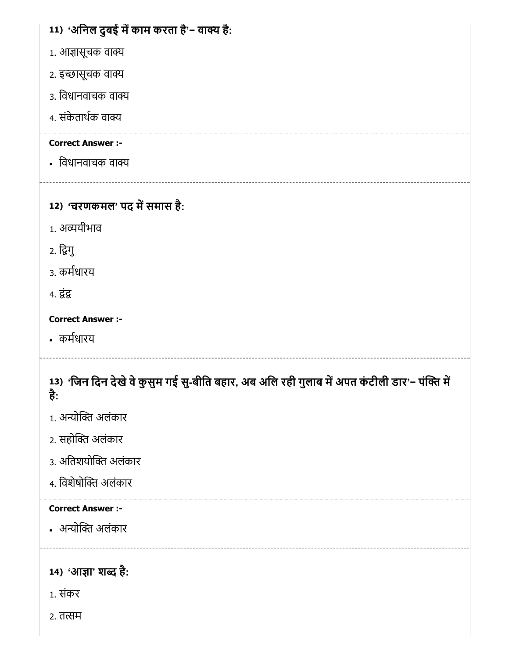# 11) 'अनिल दुबई में काम करता है'− वाक्य है:

- 1. आज्ञासूचक वाक्य
- 2. इच्छासूचक वाक्य
- 3. िवधानवाचक वा
- 4. संकेताथक वा

# Correct Answer :-

• विधानवाचक वाक्य

# 12) 'चरणकमल' पद में समास है:

- 1. अयीभाव
- 2. िगु
- 3. कमधारय
- 4. द्रंद्र

# Correct Answer :-

कमधारय

# 13) 'जिन दिन देखे वे कुसुम गई सु-बीति बहार, अब अलि रही गुलाब में अपत कंटीली डार'− पंक्ति में है :

- 1. अन्योक्ति अलंकार
- 2. सहोक्ति अलंकार
- 3. अतिशयोक्ति अलंकार
- 4. विशेषोक्ति अलंकार

# Correct Answer :-

• अन्योक्ति अलंकार

14) 'आज्ञा' शब्द है:

- 1. संकर
- 2. तत्सम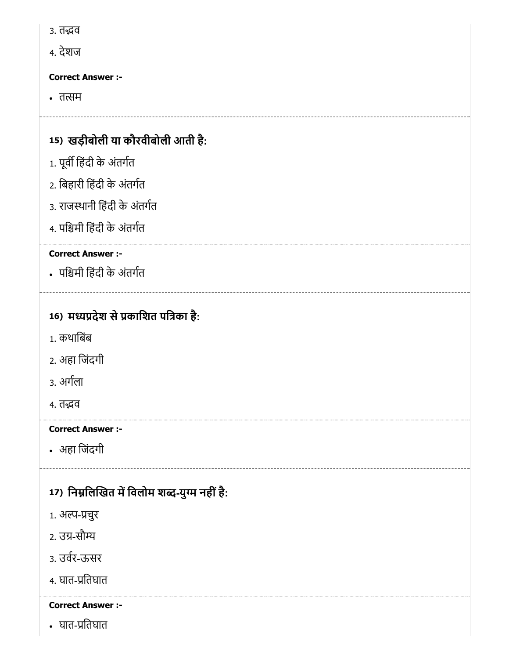- 3. तद्भव
- 4. देशज

• तत्सम

# 15) खड़ीबोली या कौरवीबोली आती है :

- 1. पूर्वी हिंदी के अंतर्गत
- 2. िबहारी िहंदी के अंतगत
- 3. राजथानी िहंदी के अंतगत
- 4. पिमी िहंदी के अंतगत

# Correct Answer :-

पिमी िहंदी के अंतगत

# 16) मध्यप्रदेश से प्रकाशित पत्रिका है:

- 1. कथािबंब
- 2. अहा िजंदगी
- 3. अगला
- 4. तद्भव

# Correct Answer :-

अहा िजंदगी

# 17) निर्म्नालेखित में विलोम शब्द-युग्म नहीं है:

- 1. अल्प-प्रचुर
- 2. उग्र-सौम्य
- 3. उवर-ऊसर
- 4. घात-प्रतिघात

# Correct Answer :-

• घात-प्रतिघात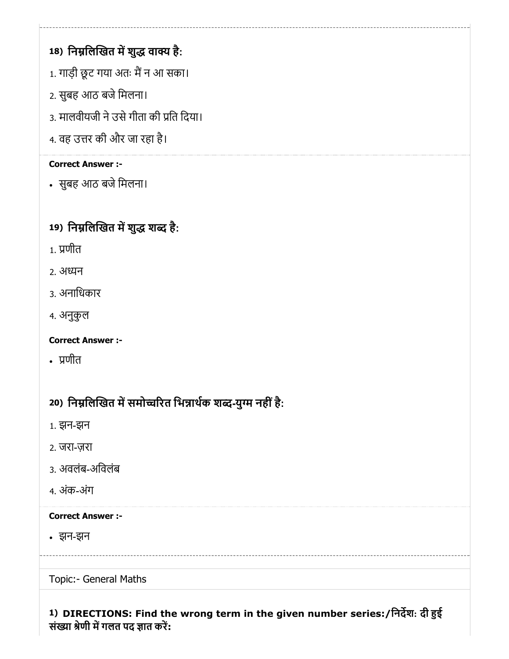# 18) निम्नलिखित में शुद्ध वाक्य है:

- 1. गाड़ी छूट गया अतः मैं न आ सका।
- 2. सुबह आठ बजे मिलना।
- 3. मालवीयजी ने उसे गीता की प्रति दिया।
- 4. वह उत्तर की और जा रहा है।

# Correct Answer :-

• सुबह आठ बजे मिलना।

# 19) निम्नलिखित में शुद्ध शब्द है:

- 1. णीत
- 2. अन
- 3. अनािधकार
- 4. अनुकुल

Correct Answer :-

णीत

# 20) निर्म्नालेखित में समोच्चरित भिन्नार्थक शब्द-युग्म नहीं है:

- 1. झन-झन
- 2. जरा-ज़रा
- 3. अवलंब-अिवलंब
- 4. अंक-अंग

# Correct Answer :-

झन-झन

Topic:- General Maths

# 1) DIRECTIONS: Find the wrong term in the given number series:/िनदश: दी ई संख्या श्रेणी में गलत पद ज्ञात करें: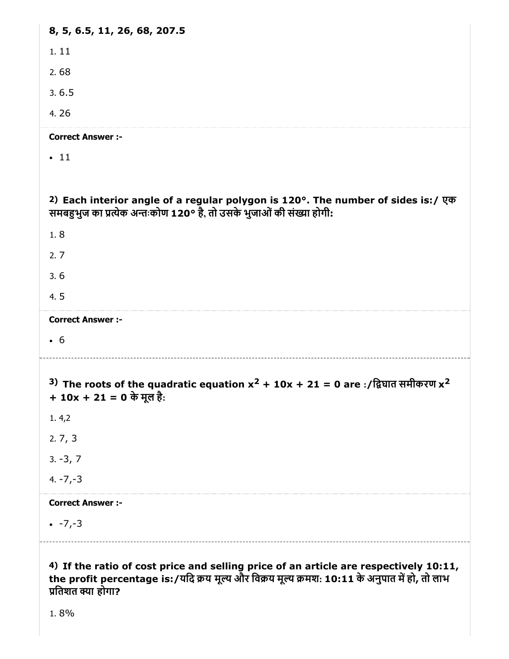| 8, 5, 6.5, 11, 26, 68, 207.5                                                                                                                              |
|-----------------------------------------------------------------------------------------------------------------------------------------------------------|
| 1.11                                                                                                                                                      |
| 2.68                                                                                                                                                      |
| 3.6.5                                                                                                                                                     |
| 4.26                                                                                                                                                      |
| <b>Correct Answer :-</b>                                                                                                                                  |
| $\cdot$ 11                                                                                                                                                |
|                                                                                                                                                           |
| 2) Each interior angle of a regular polygon is 120°. The number of sides is:/ एक<br>समबहुभुज का प्रत्येक अन्तःकोण 120° है, तो उसके भुजाओं की संख्या होगी: |
| 1.8                                                                                                                                                       |
| 2.7                                                                                                                                                       |
| 3.6                                                                                                                                                       |
| 4.5                                                                                                                                                       |
| <b>Correct Answer :-</b>                                                                                                                                  |
| $\cdot$ 6                                                                                                                                                 |
|                                                                                                                                                           |
|                                                                                                                                                           |
| 3) The roots of the quadratic equation $x^2 + 10x + 21 = 0$ are :/द्विघात समीकरण $x^2$<br>+ $10x + 21 = 0$ के मूल है:                                     |
| 1.4,2                                                                                                                                                     |
| 2.7, 3                                                                                                                                                    |
| $3. -3, 7$                                                                                                                                                |
| $4. -7, -3$                                                                                                                                               |
| <b>Correct Answer :-</b>                                                                                                                                  |
| $-7, -3$                                                                                                                                                  |

1. 8%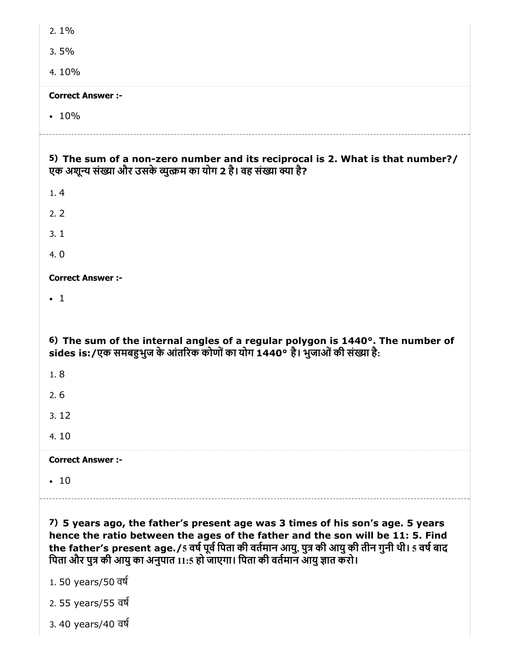| $2.1\%$                                                                                                                                                                                                                                                                                                                                                 |  |  |
|---------------------------------------------------------------------------------------------------------------------------------------------------------------------------------------------------------------------------------------------------------------------------------------------------------------------------------------------------------|--|--|
| 3.5%                                                                                                                                                                                                                                                                                                                                                    |  |  |
| 4.10%                                                                                                                                                                                                                                                                                                                                                   |  |  |
| <b>Correct Answer :-</b>                                                                                                                                                                                                                                                                                                                                |  |  |
| $\cdot$ 10%                                                                                                                                                                                                                                                                                                                                             |  |  |
| 5) The sum of a non-zero number and its reciprocal is 2. What is that number?/<br>एक अशून्य संख्या और उसके व्युत्क्रम का योग 2 है। वह संख्या क्या है?                                                                                                                                                                                                   |  |  |
| 1.4                                                                                                                                                                                                                                                                                                                                                     |  |  |
| 2.2                                                                                                                                                                                                                                                                                                                                                     |  |  |
| 3.1                                                                                                                                                                                                                                                                                                                                                     |  |  |
| 4.0                                                                                                                                                                                                                                                                                                                                                     |  |  |
| <b>Correct Answer :-</b>                                                                                                                                                                                                                                                                                                                                |  |  |
| $\cdot$ 1                                                                                                                                                                                                                                                                                                                                               |  |  |
|                                                                                                                                                                                                                                                                                                                                                         |  |  |
| 6) The sum of the internal angles of a regular polygon is 1440°. The number of<br>sides is:/एक समबहुभुज के आंतरिक कोणों का योग 1440° है। भुजाओं की संख्या है:                                                                                                                                                                                           |  |  |
|                                                                                                                                                                                                                                                                                                                                                         |  |  |
| 1.8                                                                                                                                                                                                                                                                                                                                                     |  |  |
| 2.6                                                                                                                                                                                                                                                                                                                                                     |  |  |
| 3.12                                                                                                                                                                                                                                                                                                                                                    |  |  |
| 4.10                                                                                                                                                                                                                                                                                                                                                    |  |  |
| <b>Correct Answer:-</b>                                                                                                                                                                                                                                                                                                                                 |  |  |
| $-10$                                                                                                                                                                                                                                                                                                                                                   |  |  |
|                                                                                                                                                                                                                                                                                                                                                         |  |  |
| 7) 5 years ago, the father's present age was 3 times of his son's age. 5 years<br>hence the ratio between the ages of the father and the son will be 11: 5. Find<br>the father's present age./5 वर्ष पूर्व पिता की वर्तमान आयु, पुत्र की आयु की तीन गुनी थी। 5 वर्ष बाद<br>पिता और पुत्र की आयु का अनुपात 11:5 हो जाएगा। पिता की वर्तमान आयु ज्ञात करो। |  |  |
| 1.50 years/50 वर्ष                                                                                                                                                                                                                                                                                                                                      |  |  |
| 2.55 years/55 वर्ष                                                                                                                                                                                                                                                                                                                                      |  |  |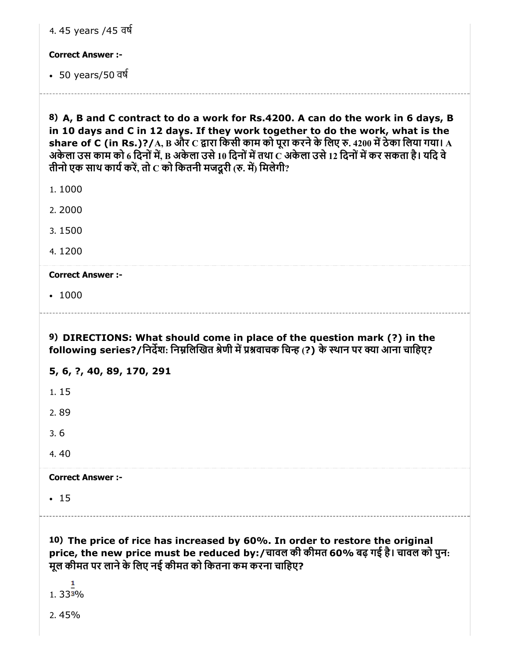| <b>Correct Answer :-</b>                                                                                                                                                                                                                                                                                                                                                                                                                                                     |
|------------------------------------------------------------------------------------------------------------------------------------------------------------------------------------------------------------------------------------------------------------------------------------------------------------------------------------------------------------------------------------------------------------------------------------------------------------------------------|
| • 50 years/50 वर्ष                                                                                                                                                                                                                                                                                                                                                                                                                                                           |
| 8) A, B and C contract to do a work for Rs.4200. A can do the work in 6 days, B<br>in 10 days and C in 12 days. If they work together to do the work, what is the<br>share of C (in Rs.)?/ $\rm A,B$ और $\rm C$ द्वारा किसी काम को पूरा करने के लिए रु. 4200 में ठेका लिया गया। $\rm A$<br>अकेला उस काम को 6 दिनों में, B अकेला उसे 10 दिनों में तथा C अकेला उसे 12 दिनों में कर सकता है। यदि वे<br>तीनो एक साथ कार्य करें, तो $\mathbf c$ को कितनी मजदूरी (रु. में) मिलेगी? |
| 1.1000                                                                                                                                                                                                                                                                                                                                                                                                                                                                       |
| 2.2000                                                                                                                                                                                                                                                                                                                                                                                                                                                                       |
| 3.1500                                                                                                                                                                                                                                                                                                                                                                                                                                                                       |
| 4.1200                                                                                                                                                                                                                                                                                                                                                                                                                                                                       |
| <b>Correct Answer :-</b>                                                                                                                                                                                                                                                                                                                                                                                                                                                     |
| • 1000                                                                                                                                                                                                                                                                                                                                                                                                                                                                       |
| 9) DIRECTIONS: What should come in place of the question mark (?) in the                                                                                                                                                                                                                                                                                                                                                                                                     |
| following series?/निर्देश: निम्नलिखित श्रेणी में प्रश्नवाचक चिन्ह (?) के स्थान पर क्या आना चाहिए?                                                                                                                                                                                                                                                                                                                                                                            |
| 5, 6, ?, 40, 89, 170, 291                                                                                                                                                                                                                                                                                                                                                                                                                                                    |
| 1.15                                                                                                                                                                                                                                                                                                                                                                                                                                                                         |
| 2.89                                                                                                                                                                                                                                                                                                                                                                                                                                                                         |
| 3.6                                                                                                                                                                                                                                                                                                                                                                                                                                                                          |
| 4.40                                                                                                                                                                                                                                                                                                                                                                                                                                                                         |
| <b>Correct Answer :-</b>                                                                                                                                                                                                                                                                                                                                                                                                                                                     |
| $\cdot$ 15                                                                                                                                                                                                                                                                                                                                                                                                                                                                   |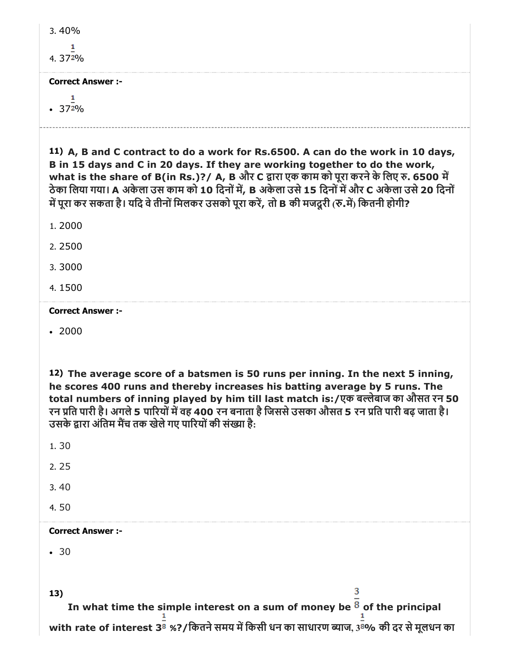| $3.40\%$ |  |
|----------|--|
| 4. 372%  |  |

1  $\cdot$  372%

11) A, B and C contract to do a work for Rs.6500. A can do the work in 10 days, B in 15 days and C in 20 days. If they are working together to do the work, what is the share of B(in Rs.)?/ A, B और C द्वारा एक काम को पूरा करने के लिए रु. 6500 में ठेका लिया गया। A अकेला उस काम को 10 दिनों में, B अकेला उसे 15 दिनों में और C अकेला उसे 20 दिनों में पूरा कर सकता है। यदि वे तीनों मिलकर उसको पूरा करें, तो B की मजदूरी (रु.में) कितनी होगी?

1. 2000

2. 2500

3. 3000

4. 1500

Correct Answer :-

 $.2000$ 

12) The average score of a batsmen is 50 runs per inning. In the next 5 inning, he scores 400 runs and thereby increases his batting average by 5 runs. The total numbers of inning played by him till last match is:/एक बलेबाज का औसत रन 50 रन प्रति पारी है। अगले 5 पारियों में वह 400 रन बनाता है जिससे उसका औसत 5 रन प्रति पारी बढ़ जाता है। उसके द्वारा अंतिम मैंच तक खेले गए पारियों की संख्या है:

1. 30 2. 25 3. 40 4. 50 Correct Answer :-  $-30$ 3 13) In what time the simple interest on a sum of money be  $8$  of the principal with rate of interest 3 $^{\mathrm{\bar{g}}}$  %?/कितने समय में किसी धन का साधारण ब्याज,  $3^{\mathrm{\bar{g}}}$ % की दर से मूलधन का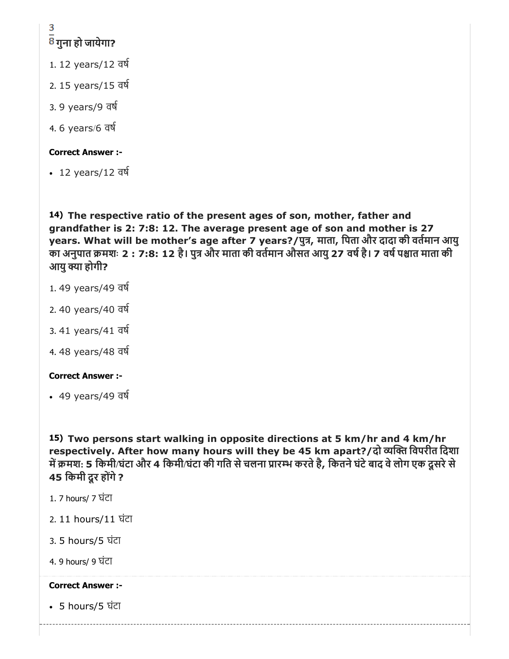# 3 <mark>8</mark> गुना हो जायेगा?

- 1. 12 years/12 वष
- 2. 15 years/15 वष
- 3. 9 years/9 वष
- 4. 6 years/6 वष

# Correct Answer :-

12 years/12 वष

14) The respective ratio of the present ages of son, mother, father and grandfather is 2: 7:8: 12. The average present age of son and mother is 27 years. What will be mother's age after 7 years?/पुत्र, माता, पिता और दादा की वर्तमान आयु का अनुपात क्रमशः 2 : 7:8: 12 है। पुत्र और माता की वर्तमान औसत आयु 27 वर्ष है। 7 वर्ष पश्चात माता की आयु क्या होगी?

- 1. 49 years/49 वष
- 2. 40 years/40 वष
- 3. 41 years/41 वष
- 4. 48 years/48 वष

# Correct Answer :-

49 years/49 वष

15) Two persons start walking in opposite directions at 5 km/hr and 4 km/hr respectively. After how many hours will they be 45 km apart?/दो व्यक्ति विपरीत दिशा में क्रमश: 5 किमी/घंटा और 4 किमी/घंटा की गति से चलना प्रारम्भ करते है, कितने घंटे बाद वे लोग एक दूसरे से 45 किमी दूर होंगे ?

- 1. 7 hours/ 7 घंटा
- 2. 11 hours/11 घंटा
- 3. 5 hours/5 घंटा
- 4. 9 hours/ 9 घंटा

# Correct Answer :-

5 hours/5 घंटा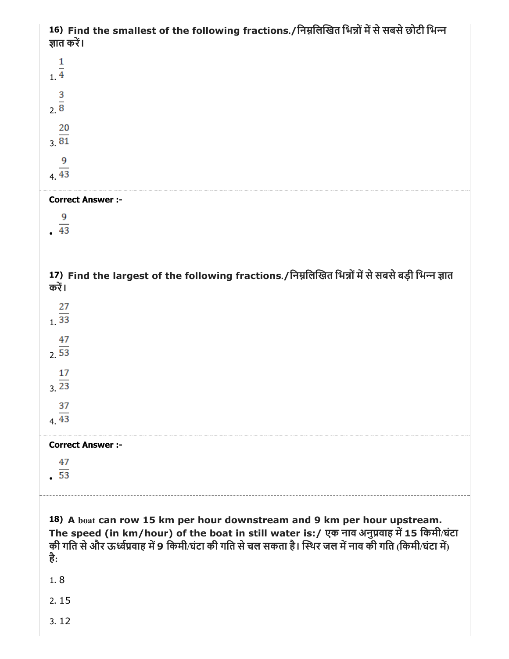| 16) Find the smallest of the following fractions./निम्नलिखित भिन्नों में से सबसे छोटी भिन्न<br>ज्ञात करें।                                                                                                                                                                             |
|----------------------------------------------------------------------------------------------------------------------------------------------------------------------------------------------------------------------------------------------------------------------------------------|
| $\frac{1}{1}$                                                                                                                                                                                                                                                                          |
| $\frac{3}{2}$                                                                                                                                                                                                                                                                          |
| $\frac{20}{81}$                                                                                                                                                                                                                                                                        |
| 9<br>$4\overline{43}$                                                                                                                                                                                                                                                                  |
| <b>Correct Answer :-</b>                                                                                                                                                                                                                                                               |
| 9<br>$-43$                                                                                                                                                                                                                                                                             |
|                                                                                                                                                                                                                                                                                        |
|                                                                                                                                                                                                                                                                                        |
| 17) Find the largest of the following fractions./निम्नलिखित भिन्नों में से सबसे बड़ी भिन्न ज्ञात<br>करें।                                                                                                                                                                              |
|                                                                                                                                                                                                                                                                                        |
| $\frac{27}{33}$                                                                                                                                                                                                                                                                        |
| 47<br>2.53                                                                                                                                                                                                                                                                             |
| 17<br>$3\overline{23}$                                                                                                                                                                                                                                                                 |
| 37                                                                                                                                                                                                                                                                                     |
| $4\overline{43}$                                                                                                                                                                                                                                                                       |
| <b>Correct Answer :-</b>                                                                                                                                                                                                                                                               |
| 47<br>$\overline{53}$                                                                                                                                                                                                                                                                  |
|                                                                                                                                                                                                                                                                                        |
| 18) A boat can row 15 km per hour downstream and 9 km per hour upstream.<br>The speed (in km/hour) of the boat in still water is:/ एक नाव अनुप्रवाह में 15 किमी/घंटा<br>की गति से और ऊर्ध्वप्रवाह में 9 किमी/घंटा की गति से चल सकता है। स्थिर जल में नाव की गति (किमी/घंटा में)<br>है: |
| 1.8                                                                                                                                                                                                                                                                                    |
| 2.15                                                                                                                                                                                                                                                                                   |
| 3.12                                                                                                                                                                                                                                                                                   |